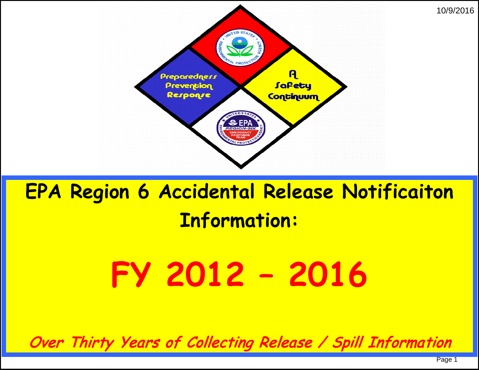

# **EPA Region 6 Accidental Release Notificaiton Information:**

# **FY 2012 – 2016**

Over Thirty Years of Collecting Release / Spill Information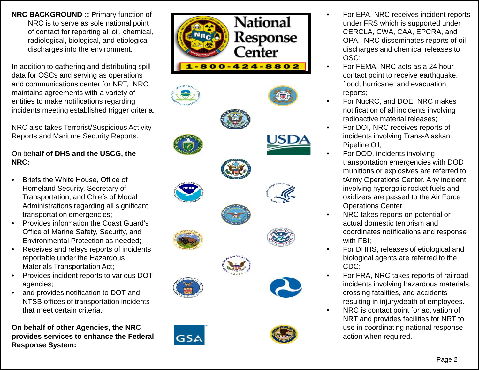**NRC BACKGROUND :: P**rimary function of NRC is to serve as sole national point of contact for reporting all oil, chemical, radiological, biological, and etiological discharges into the environment.

In addition to gathering and distributing spill data for OSCs and serving as operations and communications center for NRT, NRC maintains agreements with a variety of entities to make notifications regarding incidents meeting established trigger criteria.

NRC also takes Terrorist/Suspicious Activity Reports and Maritime Security Reports.

#### On beh**alf of DHS and the USCG, the NRC:**

- Briefs the White House, Office of Homeland Security, Secretary of Transportation, and Chiefs of Modal Administrations regarding all significant transportation emergencies;
- Provides information the Coast Guard's Office of Marine Safety, Security, and Environmental Protection as needed;
- Receives and relays reports of incidents reportable under the Hazardous Materials Transportation Act;
- Provides incident reports to various DOT agencies;
- and provides notification to DOT and NTSB offices of transportation incidents that meet certain criteria.

**On behalf of other Agencies, the NRC provides services to enhance the Federal Response System:**



- For EPA, NRC receives incident reports under FRS which is supported under CERCLA, CWA, CAA, EPCRA, and OPA. NRC disseminates reports of oil discharges and chemical releases to OSC;
- For FEMA, NRC acts as a 24 hour contact point to receive earthquake, flood, hurricane, and evacuation reports;
- For NucRC, and DOE, NRC makes notification of all incidents involving radioactive material releases;
- For DOI, NRC receives reports of incidents involving Trans -Alaskan Pipeline Oil;
- For DOD, incidents involving transportation emergencies with DOD munitions or explosives are referred to tArmy Operations Center. Any incident involving hypergolic rocket fuels and oxidizers are passed to the Air Force Operations Center.
- NRC takes reports on potential or actual domestic terrorism and coordinates notifications and response with FBI;
- For DHHS, releases of etiological and biological agents are referred to the CDC;
- For FRA, NRC takes reports of railroad incidents involving hazardous materials, crossing fatalities, and accidents resulting in injury/death of employees.
- NRC is contact point for activation of NRT and provides facilities for NRT to use in coordinating national response action when required.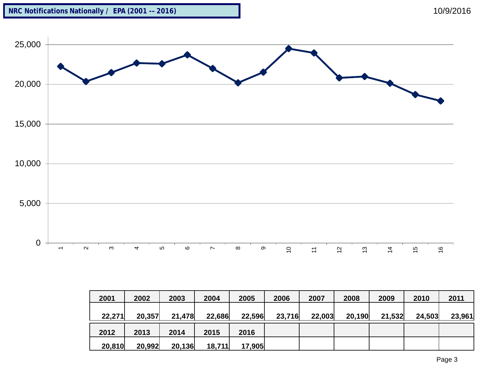



| 2001   | 2002   | 2003   | 2004   | 2005   | 2006   | 2007   | 2008   | 2009   | 2010   | 2011   |
|--------|--------|--------|--------|--------|--------|--------|--------|--------|--------|--------|
|        |        |        |        |        |        |        |        |        |        |        |
| 22,271 | 20,357 | 21,478 | 22,686 | 22,596 | 23,716 | 22,003 | 20,190 | 21,532 | 24,503 | 23,961 |
| 2012   | 2013   | 2014   | 2015   | 2016   |        |        |        |        |        |        |
| 20,810 | 20,992 | 20,136 | 18,711 | 17,905 |        |        |        |        |        |        |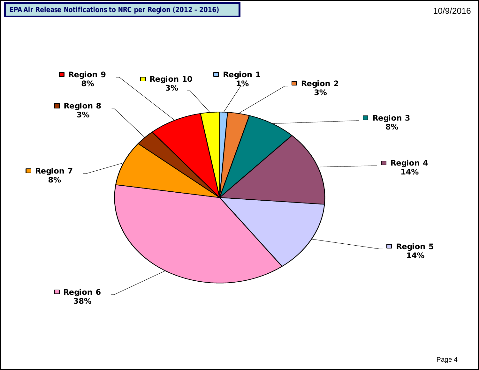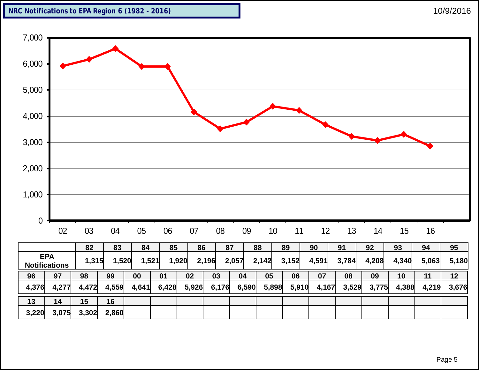



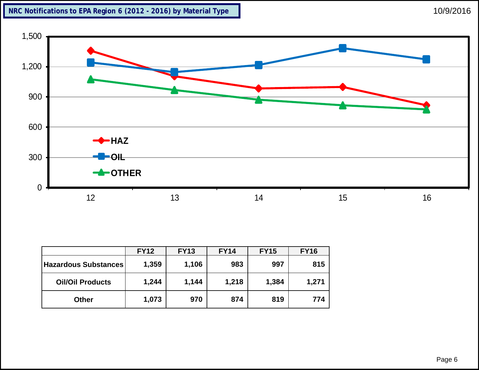

|                         | <b>FY12</b> | <b>FY13</b> | <b>FY14</b> | <b>FY15</b> | <b>FY16</b> |
|-------------------------|-------------|-------------|-------------|-------------|-------------|
| Hazardous Substances    | 1,359       | 1,106       | 983         | 997         | 815         |
| <b>Oil/Oil Products</b> | 1,244       | 1,144       | 1,218       | 1,384       | 1,271       |
| <b>Other</b>            | 1,073       | 970         | 874         | 819         | 774         |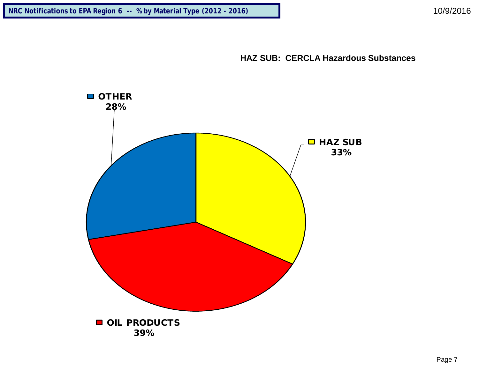

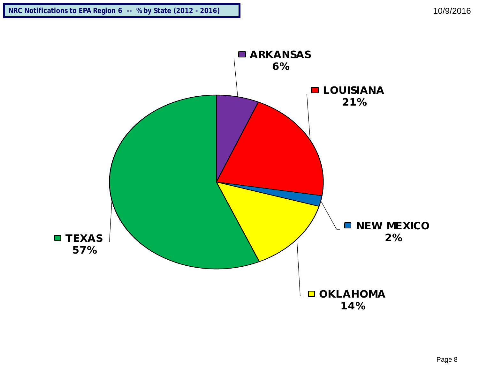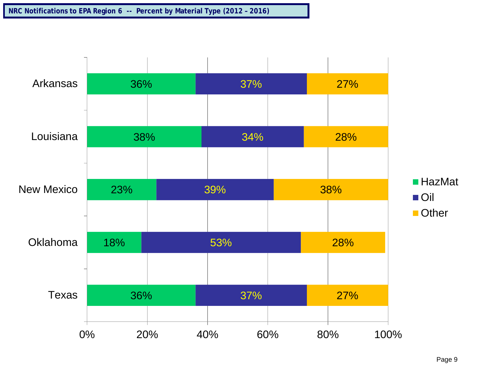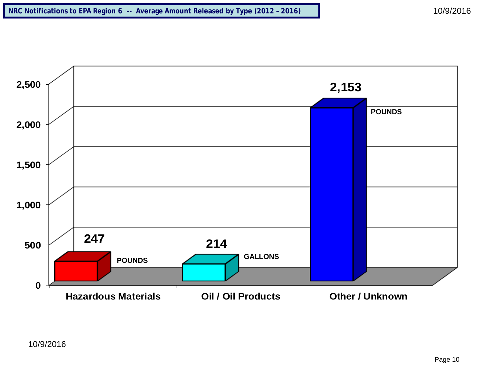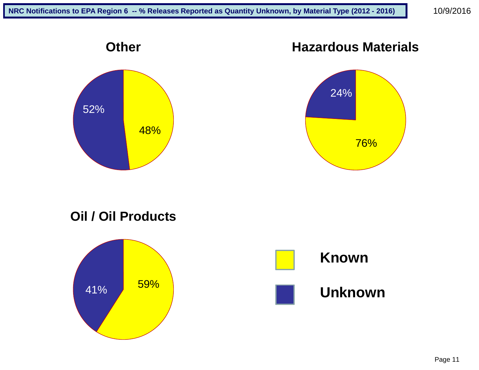

### **Hazardous Materials**



**Oil / Oil Products**

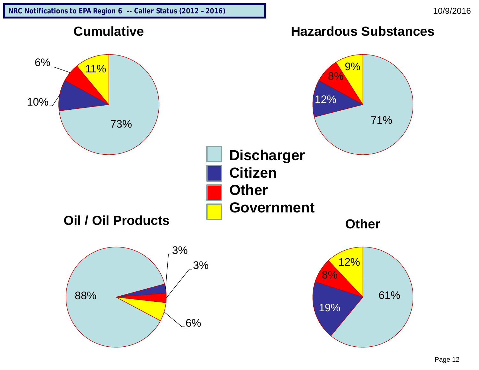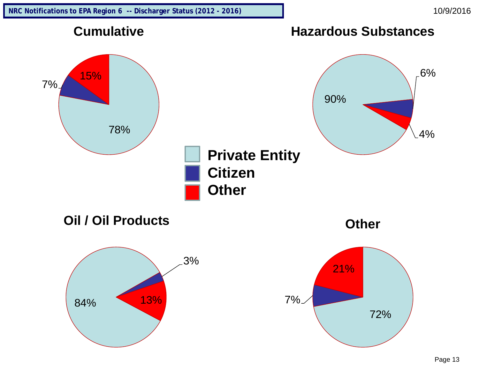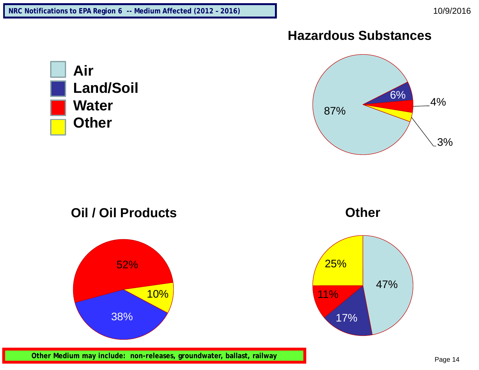#### **Hazardous Substances**







**Other**



**Other Medium may include: non-releases, groundwater, ballast, railway**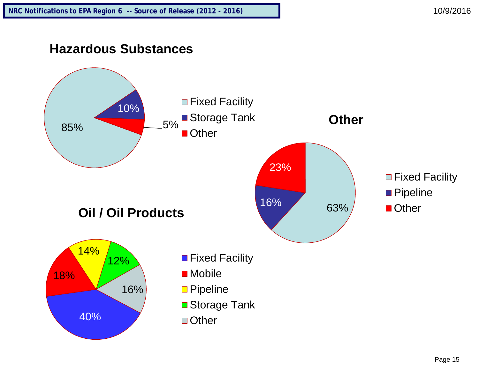### **Hazardous Substances**

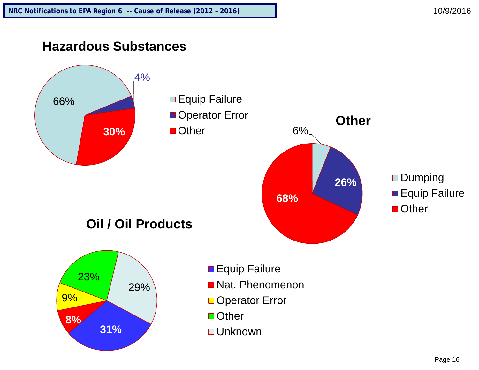## **Hazardous Substances**

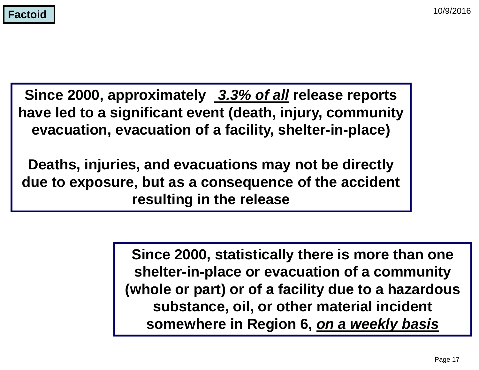**Since 2000, approximately** *3.3% of all* **release reports have led to a significant event (death, injury, community evacuation, evacuation of a facility, shelter-in-place)**

**Deaths, injuries, and evacuations may not be directly due to exposure, but as a consequence of the accident resulting in the release**

> **Since 2000, statistically there is more than one shelter-in-place or evacuation of a community (whole or part) or of a facility due to a hazardous substance, oil, or other material incident somewhere in Region 6,** *on a weekly basis*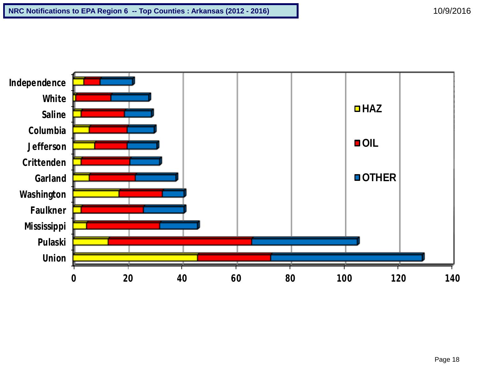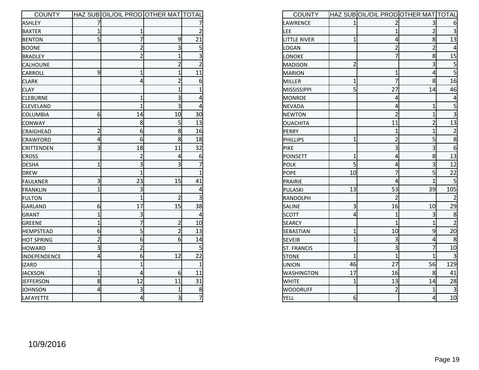| <b>COUNTY</b>     |                | HAZ SUB OIL/OIL PROD OTHER MAT TOTAL |                  |                |
|-------------------|----------------|--------------------------------------|------------------|----------------|
| ASHLEY            |                |                                      |                  |                |
| <b>BAXTER</b>     | 1              | 1                                    |                  | $\overline{2}$ |
| <b>BENTON</b>     | 5              | 7                                    | 9                | 21             |
| <b>BOONE</b>      |                | $\overline{2}$                       | 3                | 5              |
| <b>BRADLEY</b>    |                | $\overline{2}$                       | $\overline{1}$   | 3              |
| <b>CALHOUNE</b>   |                |                                      | $\overline{2}$   | $\overline{2}$ |
| CARROLL           | 9              | $\overline{1}$                       | $\overline{1}$   | 11             |
| <b>CLARK</b>      |                | 4                                    | $\overline{2}$   | 6              |
| <b>CLAY</b>       |                |                                      | $\overline{1}$   | $\overline{1}$ |
| <b>CLEBURNE</b>   |                | $\mathbf{1}$                         | 3                | 4              |
| <b>CLEVELAND</b>  |                | $\overline{1}$                       | 3                | 4              |
| <b>COLUMBIA</b>   | 6              | 14                                   | 10               | 30             |
| <b>CONWAY</b>     |                | 8                                    | 5                | 13             |
| <b>CRAIGHEAD</b>  | $\overline{2}$ | 6                                    | 8                | 16             |
| <b>CRAWFORD</b>   | 4              | 6                                    | 8                | 18             |
| <b>CRITTENDEN</b> | 3              | 18                                   | 11               | 32             |
| <b>CROSS</b>      |                | 2                                    | 4                | 6              |
| <b>DESHA</b>      | $\overline{1}$ | 3                                    | 3                | 7              |
| DREW              |                | $\overline{1}$                       |                  | 1              |
| FAULKNER          | 3              | 23                                   | 15               | 41             |
| FRANKLIN          | $\overline{1}$ | 3                                    |                  | 4              |
| <b>FULTON</b>     |                | $\overline{1}$                       | 2                | 3              |
| GARLAND           | 6              | 17                                   | 15               | 38             |
| GRANT             | $\overline{1}$ | 3                                    |                  | 4              |
| GREENE            | $\overline{1}$ | 7                                    | $\overline{2}$   | 10             |
| <b>HEMPSTEAD</b>  | 6              | 5                                    | $\overline{2}$   | 13             |
| <b>HOT SPRING</b> | $\overline{2}$ | 6                                    | 6                | 14             |
| HOWARD            | 3              | $\overline{2}$                       |                  | 5              |
| INDEPENDENCE      | 4              | 6                                    | 12               | 22             |
| <b>IZARD</b>      |                | $\mathbf{1}$                         |                  | $\overline{1}$ |
| <b>JACKSON</b>    | 1              | 4                                    | $6 \overline{6}$ | 11             |
| <b>JEFFERSON</b>  | 8              | 12                                   | 11               | 31             |
| ϸΟΗΝSΟΝ           | 4              | 3                                    | 1                | 8              |
| LAFAYETTE         |                | $\overline{a}$                       | $\overline{3}$   | $\overline{7}$ |

| <b>COUNTY</b>      |                | HAZ SUB OIL/OIL PROD OTHER MAT TOTAL |                |                  |
|--------------------|----------------|--------------------------------------|----------------|------------------|
| LAWRENCE           | 1              |                                      | 3              | 6                |
| LEE                |                | $\overline{1}$                       | $\overline{c}$ | 3                |
| LITTLE RIVER       | $\overline{1}$ | 4                                    | 8              | 13               |
| LOGAN              |                | $\overline{2}$                       | $\overline{2}$ | 4                |
| LONOKE             |                | 7                                    | 8              | 15               |
| MADISON            | $\overline{2}$ |                                      | 3              | 5                |
| <b>MARION</b>      |                | $\overline{1}$                       | 4              | $\overline{5}$   |
| MILLER             | $\overline{1}$ | 7                                    | 8              | 16               |
| MISSISSIPPI        | 5              | 27                                   | 14             | 46               |
| <b>MONROE</b>      |                | 4                                    |                | 4                |
| <b>NEVADA</b>      |                | 4                                    | $\mathbf{1}$   | 5                |
| <b>NEWTON</b>      |                | $\overline{2}$                       | $\overline{1}$ | 3                |
| OUACHITA           |                | 11                                   | $\overline{c}$ | 13               |
| PERRY              |                | 1                                    | $\overline{1}$ | $\overline{2}$   |
| PHILLIPS           | $\overline{1}$ | $\overline{2}$                       | 5              | 8                |
| PIKE               |                | 3                                    | 3              | $6 \overline{6}$ |
| POINSETT           | 1              | 4                                    | 8              | 13               |
| <b>POLK</b>        | 5              | 4                                    | 3              | 12               |
| <b>POPE</b>        | 10             | 7                                    | 5              | 22               |
| PRAIRIE            |                | 4                                    | $\overline{1}$ | 5                |
| PULASKI            | 13             | 53                                   | 39             | 105              |
| RANDOLPH           |                | $\overline{2}$                       |                | $\overline{2}$   |
| SALINE             | 3              | 16                                   | 10             | 29               |
| <b>SCOTT</b>       | 4              | $\overline{1}$                       | 3              | 8                |
| <b>SEARCY</b>      |                | $\overline{1}$                       | $\overline{1}$ | $\overline{2}$   |
| SEBASTIAN          | $\overline{1}$ | 10                                   | 9              | 20               |
| <b>SEVEIR</b>      | $\mathbf{1}$   | 3                                    | 4              | 8                |
| <b>ST. FRANCIS</b> |                | 3                                    | $\overline{7}$ | 10               |
| <b>STONE</b>       | $\overline{1}$ | $\overline{1}$                       | $\overline{1}$ | 3                |
| <b>UNION</b>       | 46             | 27                                   | 56             | 129              |
| <b>WASHINGTON</b>  | 17             | 16                                   | 8              | 41               |
| <b>WHITE</b>       | $\mathbf{1}$   | 13                                   | 14             | 28               |
| <b>WOODRUFF</b>    |                | $\overline{2}$                       | 1              | 3                |
| YELL               | 6              |                                      | $\overline{a}$ | 10               |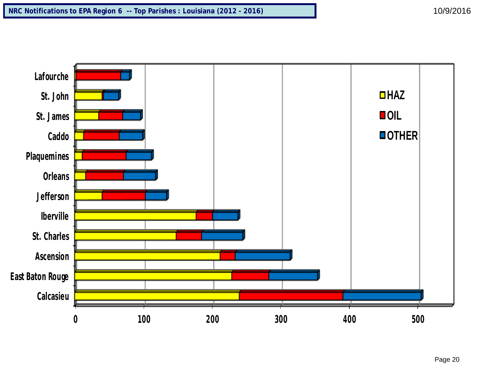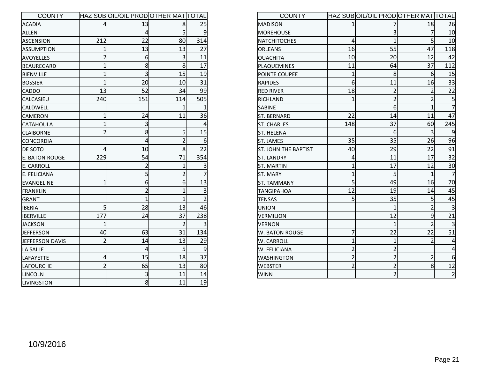| <b>COUNTY</b>         |                | HAZ SUBOOIL/OIL PRODOOTHER MATTOTAL |                |                |
|-----------------------|----------------|-------------------------------------|----------------|----------------|
| <b>ACADIA</b>         | 4              | 13                                  | 8              | 25             |
| ALLEN                 |                | 4                                   | 5              | 9              |
| <b>ASCENSION</b>      | 212            | 22                                  | 80             | 314            |
| <b>ASSUMPTION</b>     | $\mathbf{1}$   | 13                                  | 13             | 27             |
| <b>AVOYELLES</b>      | $\overline{2}$ | 6                                   | 3              | 11             |
| <b>BEAUREGARD</b>     | $\overline{1}$ | 8                                   | 8              | 17             |
| <b>BIENVILLE</b>      | $\overline{1}$ | 3                                   | 15             | 19             |
| <b>BOSSIER</b>        | 1              | 20                                  | 10             | 31             |
| CADDO                 | 13             | 52                                  | 34             | 99             |
| CALCASIEU             | 240            | 151                                 | 114            | 505            |
| CALDWELL              |                |                                     | 1              | 1              |
| CAMERON               | $\overline{1}$ | 24                                  | 11             | 36             |
| CATAHOULA             | $\overline{1}$ | 3                                   |                | 4              |
| <b>CLAIBORNE</b>      | $\overline{2}$ | 8                                   | 5              | 15             |
| <b>CONCORDIA</b>      |                | 4                                   | $\overline{2}$ | 6              |
| DE SOTO               | 4              | 10                                  | 8              | 22             |
| <b>E. BATON ROUGE</b> | 229            | 54                                  | 71             | 354            |
| <b>E. CARROLL</b>     |                | $\overline{2}$                      | $\mathbf{1}$   | 3              |
| E. FELICIANA          |                | 5                                   | $\overline{2}$ | $\overline{7}$ |
| EVANGELINE            | $\overline{1}$ | 6                                   | 6              | 13             |
| <b>FRANKLIN</b>       |                | $\overline{2}$                      | $\overline{1}$ | 3              |
| GRANT                 |                | $\overline{1}$                      | $\overline{1}$ | $\overline{2}$ |
| <b>IBERIA</b>         | 5              | 28                                  | 13             | 46             |
| <b>IBERVILLE</b>      | 177            | 24                                  | 37             | 238            |
| <b>JACKSON</b>        | $\overline{1}$ |                                     | $\overline{2}$ | $\overline{3}$ |
| JEFFERSON             | 40             | 63                                  | 31             | 134            |
| JEFFERSON DAVIS       | $\overline{2}$ | 14                                  | 13             | 29             |
| LA SALLE              |                | 4                                   | 5              | 9              |
| LAFAYETTE             | 4              | 15                                  | 18             | 37             |
| LAFOURCHE             | $\overline{2}$ | 65                                  | 13             | 80             |
| LINCOLN               |                | 3                                   | 11             | 14             |
| LIVINGSTON            |                | 8                                   | 11             | 19             |

| <b>COUNTY</b>               |                | HAZ SUBOOIL/OIL PRODOOTHER MATTOTAL |                |                |
|-----------------------------|----------------|-------------------------------------|----------------|----------------|
| MADISON                     |                |                                     | 18             | 26             |
| <b>MOREHOUSE</b>            |                | 3                                   | 7              | 10             |
| NATCHITOCHES                | 4              | $\overline{1}$                      | 5 <sup>1</sup> | 10             |
| <b>ORLEANS</b>              | 16             | 55                                  | 47             | 118            |
| <b>OUACHITA</b>             | 10             | 20                                  | 12             | 42             |
| PLAQUEMINES                 | 11             | 64                                  | 37             | 112            |
| POINTE COUPEE               | 1              | 8                                   | 6              | 15             |
| <b>RAPIDES</b>              | 6              | 11                                  | 16             | 33             |
| <b>RED RIVER</b>            | 18             | $\overline{2}$                      | $\overline{2}$ | 22             |
| RICHLAND                    |                | $\overline{2}$                      | $\overline{2}$ | 5              |
| SABINE                      |                | $\overline{6}$                      | $\overline{1}$ | $\overline{7}$ |
| ST. BERNARD                 | 22             | 14                                  | 11             | 47             |
| <b>ST. CHARLES</b>          | 148            | 37                                  | 60             | 245            |
| ST. HELENA                  |                | 6                                   | $\overline{3}$ | 9              |
| ST. JAMES                   | 35             | 35                                  | 26             | 96             |
| <b>ST. JOHN THE BAPTIST</b> | 40             | 29                                  | 22             | 91             |
| <b>ST. LANDRY</b>           | 4              | 11                                  | 17             | 32             |
| <b>ST. MARTIN</b>           | $\mathbf{1}$   | 17                                  | 12             | 30             |
| ST. MARY                    | 1              | 5                                   | 1              |                |
| ST. TAMMANY                 | 5              | 49                                  | 16             | 70             |
| TANGIPAHOA                  | 12             | 19                                  | 14             | 45             |
| <b>TENSAS</b>               | 5              | 35                                  | 5 <sup>1</sup> | 45             |
| UNION                       |                | 1                                   | $\overline{2}$ | $\overline{3}$ |
| VERMILION                   |                | 12                                  | 9              | 21             |
| <b>VERNON</b>               |                | $\overline{1}$                      | $\overline{2}$ | 3              |
| W. BATON ROUGE              | 7              | 22                                  | 22             | 51             |
| W. CARROLL                  | 1              | $\overline{1}$                      | $\overline{2}$ | 4              |
| W. FELICIANA                | $\overline{c}$ | $\overline{2}$                      |                | 4              |
| WASHINGTON                  | $\overline{2}$ | $\overline{2}$                      | $\overline{2}$ | 6              |
| <b>WEBSTER</b>              | $\overline{2}$ | $\overline{2}$                      | 8              | 12             |
| WINN                        |                | $\overline{2}$                      |                | $\overline{2}$ |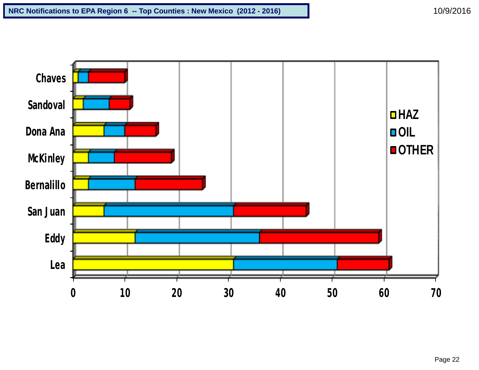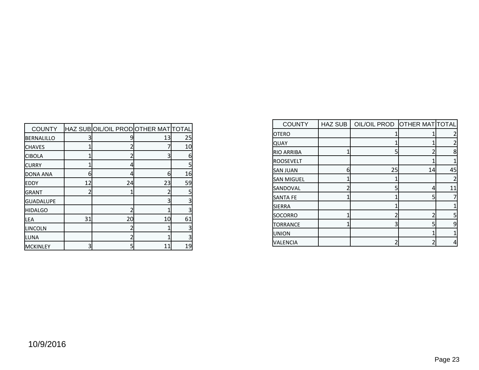| <b>COUNTY</b>     |    | HAZ SUB OIL/OIL PROD OTHER MAT TOTAL |    |    |
|-------------------|----|--------------------------------------|----|----|
| <b>BERNALILLO</b> | 3  |                                      | 13 | 25 |
| <b>CHAVES</b>     |    |                                      |    | 10 |
| <b>CIBOLA</b>     |    |                                      | 3  | 6  |
| <b>CURRY</b>      |    | 4                                    |    | 5  |
| DONA ANA          | 6  | Δ                                    | 6  | 16 |
| <b>EDDY</b>       | 12 | 24                                   | 23 | 59 |
| <b>GRANT</b>      |    |                                      |    | 5  |
| <b>GUADALUPE</b>  |    |                                      | 3  | 3  |
| <b>HIDALGO</b>    |    |                                      |    | 3  |
| LEA               | 31 | 20                                   | 10 | 61 |
| LINCOLN           |    |                                      |    | 3  |
| LUNA              |    |                                      |    | 3  |
| MCKINLEY          | 3  | 5                                    | 11 | 19 |

| <b>COUNTY</b>     | <b>HAZ SUB</b> | OIL/OIL PROD OTHER MATTOTAL |    |    |
|-------------------|----------------|-----------------------------|----|----|
| IOTERO            |                |                             |    |    |
| <b>QUAY</b>       |                |                             |    |    |
| <b>RIO ARRIBA</b> |                | 5                           |    | 8  |
| ROOSEVELT         |                |                             |    |    |
| <b>SAN JUAN</b>   | 6              | 25                          | 14 | 45 |
| <b>SAN MIGUEL</b> |                |                             |    |    |
| SANDOVAL          |                | 5                           | 4  | 11 |
| <b>SANTA FE</b>   |                |                             | 5  |    |
| <b>SIERRA</b>     |                |                             |    |    |
| SOCORRO           |                |                             |    | 5  |
| <b>TORRANCE</b>   |                | 3                           | 5  | 9  |
| UNION             |                |                             |    |    |
| VALENCIA          |                |                             |    | 4  |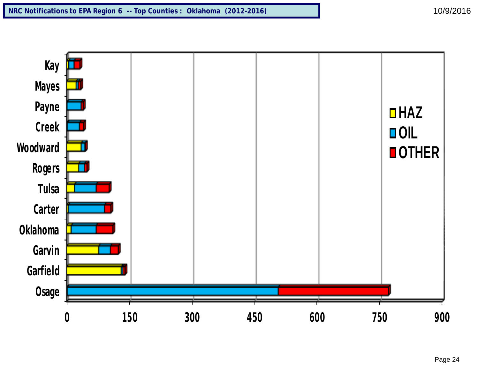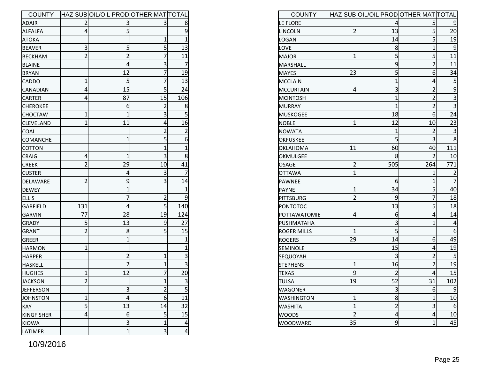| <b>COUNTY</b>    |                | HAZ SUBOIL/OIL PRODOTHER MATTOTAL |                |                         |
|------------------|----------------|-----------------------------------|----------------|-------------------------|
| <b>ADAIR</b>     | 2              | 3                                 | 3              | 8                       |
| <b>ALFALFA</b>   | 4              | 5                                 |                | 9                       |
| <b>ATOKA</b>     |                |                                   | 1              | $\overline{1}$          |
| <b>BEAVER</b>    | 3              | 5                                 | 5              | 13                      |
| <b>BECKHAM</b>   | $\overline{2}$ | $\overline{2}$                    | $\overline{7}$ | 11                      |
| <b>BLAINE</b>    |                | 4                                 | 3              | 7                       |
| <b>BRYAN</b>     |                | 12                                | 7              | 19                      |
| <b>CADDO</b>     | 1              | 5                                 | 7              | 13                      |
| <b>CANADIAN</b>  | 4              | 15                                | 5              | 24                      |
| <b>CARTER</b>    | 4              | 87                                | 15             | 106                     |
| <b>CHEROKEE</b>  |                | 6                                 | 2              | 8                       |
| <b>CHOCTAW</b>   | 1              | $\mathbf{1}$                      | 3              | 5                       |
| <b>CLEVELAND</b> | $\overline{1}$ | 11                                | 4              | 16                      |
| <b>COAL</b>      |                |                                   | $\overline{2}$ | $\overline{\mathbf{c}}$ |
| <b>COMANCHE</b>  |                | $\overline{1}$                    | 5              | 6                       |
| <b>COTTON</b>    |                |                                   | 1              | $\overline{1}$          |
| <b>CRAIG</b>     | 4              | $\mathbf{1}$                      | 3              | 8                       |
| <b>CREEK</b>     | $\overline{2}$ | 29                                | 10             | 41                      |
| <b>CUSTER</b>    |                | 4                                 | 3              | 7                       |
| DELAWARE         | $\overline{c}$ | 9                                 | 3              | 14                      |
| DEWEY            |                | 1                                 |                | $\overline{1}$          |
| <b>ELLIS</b>     |                | 7                                 | $\overline{2}$ | 9                       |
| GARFIELD         | 131            | 4                                 | 5              | 140                     |
| <b>GARVIN</b>    | 77             | 28                                | 19             | 124                     |
| <b>GRADY</b>     | 5              | 13                                | 9              | 27                      |
| GRANT            | $\overline{2}$ | 8                                 | 5              | 15                      |
| GREER            |                | $\mathbf{1}$                      |                | 1                       |
| <b>HARMON</b>    | 1              |                                   |                | $\overline{1}$          |
| <b>HARPER</b>    |                | $\overline{2}$                    | $\overline{1}$ | 3                       |
| HASKELL          |                | $\overline{2}$                    | $\mathbf{1}$   | 3                       |
| <b>HUGHES</b>    | 1              | 12                                | 7              | 20                      |
| JACKSON          | $\overline{2}$ |                                   | $\mathbf{1}$   |                         |
| JEFFERSON        |                | 3                                 | $\overline{2}$ | $\overline{5}$          |
| JOHNSTON         | $\mathbf{1}$   | 4                                 | 6              | 11                      |
| <b>KAY</b>       | 5              | 13                                | 14             | 32                      |
| KINGFISHER       | 4              | 6                                 | 5              | 15                      |
| <b>KIOWA</b>     |                | 3                                 | $\overline{1}$ | 4                       |
| LATIMER          |                | $\overline{1}$                    | 3              | $\overline{\mathbf{r}}$ |

| <b>COUNTY</b>      |                | HAZ SUB OIL/OIL PROD OTHER MAT TOTAL |                |                         |
|--------------------|----------------|--------------------------------------|----------------|-------------------------|
| LE FLORE           |                | 4                                    |                |                         |
| LINCOLN            | $\overline{2}$ | 13                                   | 5              | 20                      |
| <b>LOGAN</b>       |                | 14                                   | 5              | 19                      |
| <b>LOVE</b>        |                | 8                                    | $\overline{1}$ | 9                       |
| MAJOR              | $\overline{1}$ | 5                                    | 5              | 11                      |
| MARSHALL           |                | 9                                    | $\overline{2}$ | 11                      |
| <b>MAYES</b>       | 23             | 5                                    | 6              | 34                      |
| MCCLAIN            |                | $\mathbf{1}$                         | 4              | 5                       |
| MCCURTAIN          | 4              | 3                                    | $\overline{2}$ | $\overline{9}$          |
| <b>MCINTOSH</b>    |                | $\mathbf{1}$                         | $\overline{2}$ | $\overline{3}$          |
| MURRAY             |                | $\overline{1}$                       | $\overline{2}$ | 3                       |
| <b>MUSKOGEE</b>    |                | 18                                   | 6              | 24                      |
| <b>NOBLE</b>       | $\overline{1}$ | 12                                   | 10             | 23                      |
| <b>NOWATA</b>      |                | 1                                    | $\overline{2}$ | 3                       |
| <b>OKFUSKEE</b>    |                | 5                                    | 3              | 8                       |
| <b>OKLAHOMA</b>    | 11             | 60                                   | 40             | 111                     |
| OKMULGEE           |                | 8                                    | 2              | 10                      |
| OSAGE              | $\overline{2}$ | 505                                  | 264            | 771                     |
| <b>OTTAWA</b>      | $\overline{1}$ |                                      | 1              | $\overline{\mathbf{c}}$ |
| PAWNEE             |                | 6                                    | 1              | $\overline{7}$          |
| PAYNE              | $\mathbf{1}$   | 34                                   | 5              | 40                      |
| PITTSBURG          | $\overline{2}$ | 9                                    | 7              | 18                      |
| PONTOTOC           |                | 13                                   | 5              | 18                      |
| POTTAWATOMIE       | 4              | 6                                    | 4              | 14                      |
| PUSHMATAHA         |                | 3                                    | $\overline{1}$ | 4                       |
| <b>ROGER MILLS</b> | $\overline{1}$ | 5                                    |                | 6                       |
| <b>ROGERS</b>      | 29             | 14                                   | 6              | 49                      |
| <b>SEMINOLE</b>    |                | 15                                   | 4              | 19                      |
| SEQUOYAH           |                | 3                                    | $\overline{2}$ | 5                       |
| <b>STEPHENS</b>    | $\overline{1}$ | 16                                   | $\overline{2}$ | 19                      |
| <b>TEXAS</b>       | 9              | $\overline{2}$                       | 4              | 15                      |
| <b>TULSA</b>       | 19             | 52                                   | 31             | 102                     |
| <b>WAGONER</b>     |                | 3                                    | $\overline{6}$ | 9                       |
| <b>WASHINGTON</b>  | $\mathbf{1}$   | 8                                    | $\overline{1}$ | 10                      |
| <b>WASHITA</b>     | $\overline{1}$ | $\overline{c}$                       | 3              | 6                       |
| <b>WOODS</b>       | $\overline{c}$ | 4                                    | 4              | 10                      |
| <b>WOODWARD</b>    | 35             | 9                                    | $\overline{1}$ | 45                      |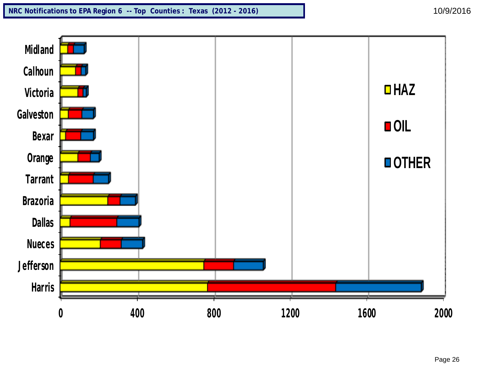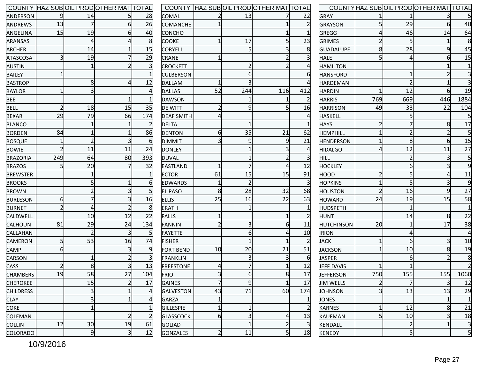|                  |                |                         | COUNTY HAZ SUBOIL PRODOTHER MATTOTAL |                |                   |                         |                | COUNTY HAZ SUBOIL PRODOTHER MAT TOTAL |                |                   |                         |     | COUNTY HAZ SUBOIL PRODOTHER MAT TOTAL |                         |
|------------------|----------------|-------------------------|--------------------------------------|----------------|-------------------|-------------------------|----------------|---------------------------------------|----------------|-------------------|-------------------------|-----|---------------------------------------|-------------------------|
| ANDERSON         |                | 14                      |                                      | 28             | <b>COMAL</b>      |                         | 13             |                                       | 22             | GRAY              |                         |     |                                       | $\overline{5}$          |
| ANDREWS          | 13             |                         |                                      | 26             | <b>COMANCHE</b>   |                         |                |                                       |                | GRAYSON           |                         | 29  |                                       | 40                      |
| ANGELINA         | 15             | 19                      |                                      | 40             | <b>CONCHO</b>     |                         |                |                                       |                | GREGG             |                         | 46  | 14                                    | 64                      |
| <b>ARANSAS</b>   |                | $\overline{4}$          |                                      | 8              | <b>COOKE</b>      |                         | 17             |                                       | 23             | <b>GRIMES</b>     |                         |     |                                       | 8                       |
| ARCHER           |                | 14                      |                                      | 15             | <b>CORYELL</b>    |                         | $\overline{5}$ |                                       |                | <b>GUADALUPE</b>  |                         | 28  |                                       | 45                      |
| <b>ATASCOSA</b>  | 3              | 19                      |                                      | 29             | <b>CRANE</b>      |                         |                |                                       |                | <b>HALE</b>       |                         |     |                                       | 15                      |
| <b>AUSTIN</b>    |                |                         |                                      | 3              | <b>CROCKETT</b>   |                         | 2              |                                       |                | <b>HAMILTON</b>   |                         |     |                                       | $\mathbf{1}$            |
| <b>BAILEY</b>    |                |                         |                                      |                | <b>CULBERSON</b>  |                         | 6              |                                       |                | <b>HANSFORD</b>   |                         |     |                                       | $\overline{\mathbf{3}}$ |
| <b>BASTROP</b>   |                | 8                       |                                      | 12             | DALLAM            |                         | 3              |                                       |                | <b>HARDEMAN</b>   |                         |     |                                       | $\overline{3}$          |
| <b>BAYLOR</b>    |                |                         |                                      |                | DALLAS            | 52                      | 244            | 116                                   | 412            | <b>HARDIN</b>     |                         | 12  |                                       | 19                      |
| <b>BEE</b>       |                |                         |                                      |                | DAWSON            |                         |                |                                       | $\overline{2}$ | <b>HARRIS</b>     | 769                     | 669 | 446                                   | 1884                    |
| <b>BELL</b>      | $\overline{2}$ | 18                      | 15                                   | 35             | <b>DE WITT</b>    |                         | 9              |                                       | 16             | <b>HARRISON</b>   | 49                      | 33  | 22                                    | 104                     |
| <b>BEXAR</b>     | 29             | 79                      | 66                                   | 174            | <b>DEAF SMITH</b> |                         |                |                                       |                | HASKELL           |                         |     |                                       | $5\overline{)}$         |
| <b>BLANCO</b>    |                |                         |                                      |                | <b>DELTA</b>      |                         |                |                                       |                | <b>HAYS</b>       |                         |     | 8                                     | 17                      |
| <b>BORDEN</b>    | 84             |                         |                                      | 86             | DENTON            | 6                       | 35             | 21                                    | 62             | <b>HEMPHILL</b>   |                         |     |                                       | $\overline{5}$          |
| <b>BOSQUE</b>    |                | 2                       |                                      |                | <b>DIMMIT</b>     |                         | 9              |                                       | 21             | <b>HENDERSON</b>  |                         | 8   |                                       | 15                      |
| <b>BOWIE</b>     |                | 11                      | 11                                   | 24             | <b>DONLEY</b>     |                         |                |                                       |                | <b>HIDALGO</b>    |                         | 12  | 11                                    | 27                      |
| <b>BRAZORIA</b>  | 249            | 64                      | 80                                   | 393            | DUVAL             |                         |                |                                       |                | <b>HILL</b>       |                         |     |                                       | $5\overline{)}$         |
| <b>BRAZOS</b>    |                | 20                      |                                      | 32             | <b>EASTLAND</b>   |                         |                |                                       | 12             | <b>HOCKLEY</b>    |                         |     |                                       | $\overline{9}$          |
| <b>BREWSTER</b>  |                |                         |                                      |                | <b>ECTOR</b>      | 61                      | 15             | 15                                    | 91             | HOOD              |                         |     |                                       | <u>11</u>               |
| <b>BROOKS</b>    |                |                         |                                      |                | <b>EDWARDS</b>    |                         |                |                                       |                | <b>HOPKINS</b>    |                         |     |                                       | $\overline{9}$          |
| <b>BROWN</b>     |                | 2                       |                                      |                | <b>EL PASO</b>    | 8                       | 28             | 32                                    | 68             | <b>HOUSTON</b>    |                         | 16  |                                       | 27                      |
| <b>BURLESON</b>  | 6              |                         |                                      | 16             | <b>ELLIS</b>      | 25                      | 16             | 22                                    | 63             | <b>HOWARD</b>     | 24                      | 19  | 15                                    | 58                      |
| <b>BURNET</b>    |                | 4                       |                                      | 8              | <b>ERATH</b>      |                         |                |                                       |                | <b>HUDSPETH</b>   |                         |     |                                       | $\mathbf{1}$            |
| CALDWELL         |                | 10                      | 12                                   | 22             | FALLS             |                         |                |                                       |                | <b>HUNT</b>       |                         | 14  | 8                                     | 22                      |
| CALHOUN          | 81             | 29                      | 24                                   | 134            | FANNIN            |                         | $\overline{3}$ |                                       | 11             | <b>HUTCHINSON</b> | 20                      |     | 17                                    | 38                      |
| <b>CALLAHAN</b>  |                | $\overline{2}$          |                                      | .5             | FAYETTE           |                         | 6              |                                       | 10             | <b>IRION</b>      |                         |     |                                       | $\overline{4}$          |
| CAMERON          | 5              | 53                      | 16                                   | 74             | <b>FISHER</b>     |                         |                |                                       |                | <b>JACK</b>       |                         |     |                                       | 10                      |
| CAMP             | 6              |                         |                                      | 9              | <b>FORT BEND</b>  | 10                      | 20             | 21                                    | 51             | JACKSON           |                         | 10  |                                       | 19                      |
| CARSON           |                |                         |                                      |                | FRANKLIN          |                         | $\overline{3}$ |                                       | -61            | <b>JASPER</b>     |                         | h   |                                       | 8                       |
| <b>CASS</b>      | $\overline{2}$ | 8                       |                                      | 13             | <b>FREESTONE</b>  |                         |                |                                       | 12             | <b>JEFF DAVIS</b> |                         |     |                                       | $\overline{2}$          |
| CHAMBERS         | 19             | 58                      | 27                                   | 104            | FRIO              | $\overline{\mathbf{3}}$ | 6              | 8                                     | 17             | JEFFERSON         | 750                     | 155 | 155                                   | 1060                    |
| <b>CHEROKEE</b>  |                | 15                      |                                      | 17             | <b>GAINES</b>     | $\overline{7}$          | $\overline{9}$ |                                       | 17             | <b>JIM WELLS</b>  | $\overline{2}$          |     | $\overline{3}$                        | 12                      |
| <b>CHILDRESS</b> |                | $\overline{\mathbf{3}}$ |                                      | Δ              | <b>GALVESTON</b>  | 43                      | 71             | 60                                    | 174            | <b>JOHNSON</b>    | $\overline{\mathbf{3}}$ | 13  | 13                                    | 29                      |
| <b>CLAY</b>      |                | 31                      |                                      | Δ              | <b>GARZA</b>      |                         |                |                                       |                | JONES             |                         |     |                                       | $\mathbf{1}$            |
| COKE             |                |                         |                                      |                | <b>GILLESPIE</b>  | $\mathbf 1$             | 1              |                                       |                | KARNES            | $\mathbf{1}$            | 12  | 8                                     | 21                      |
| <b>COLEMAN</b>   |                |                         |                                      | $\overline{2}$ | <b>GLASSCOCK</b>  | 6                       | 3              |                                       | 13             | KAUFMAN           | 5 <sub>l</sub>          | 10  |                                       | 18                      |
| <b>COLLIN</b>    | 12             | 30                      | 19                                   | 61             | <b>GOLIAD</b>     |                         | 1              |                                       | $\vert$ 3      | KENDALL           |                         | 2   |                                       | $\mathbf{3}$            |
| <b>COLORADO</b>  |                | 9                       | 3                                    | 12             | GONZALES          | $\overline{2}$          | 11             | 5l                                    | 18             | <b>KENEDY</b>     |                         | 5   |                                       | $5\overline{)}$         |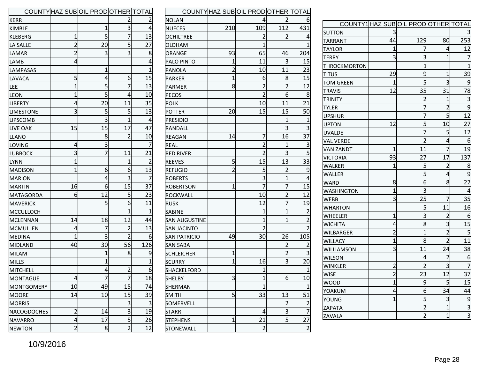|                   |                | COUNTY HAZ SUB OIL PROD OTHER TOTAL |                |                |
|-------------------|----------------|-------------------------------------|----------------|----------------|
| KERR              |                |                                     | 2              | 2              |
| KIMBLE            |                | 1                                   | 3              | 4              |
| <b>KLEBERG</b>    | 1              | 5                                   | 7              | 13             |
| LA SALLE          | $\overline{2}$ | 20                                  | 5              | 27             |
| LAMAR             | $\overline{2}$ | 3                                   | 3              | 8              |
| LAMB              | 4              |                                     |                | 4              |
| LAMPASAS          |                | 1                                   |                | 1              |
| LAVACA            | 5              | 4                                   | 6              | 15             |
| LEE               | $\overline{1}$ | 5                                   | 7              | 13             |
| LEON              | $\overline{1}$ | 5                                   | 4              | 10             |
| LIBERTY           | 4              | 20                                  | 11             | 35             |
| <b>LIMESTONE</b>  | 3              | 5                                   | 5              | 13             |
| <b>LIPSCOMB</b>   |                | 3                                   | $\overline{1}$ | 4              |
| LIVE OAK          | 15             | 15                                  | 17             | 47             |
| LLANO             |                | 8                                   | $\overline{2}$ | 10             |
| LOVING            | 4              | 3                                   |                | $\prime$       |
| LUBBOCK           | 3              | 7                                   | 11             | 21             |
| LYNN              | $\overline{1}$ |                                     | $\overline{1}$ | $\overline{2}$ |
| <b>MADISON</b>    | $\overline{1}$ | 6                                   | 6              | 13             |
| <b>MARION</b>     |                | 4                                   | 3              | 7              |
| <b>MARTIN</b>     | 16             | 6                                   | 15             | 37             |
| MATAGORDA         | 6              | 12                                  | 5              | 23             |
| <b>MAVERICK</b>   |                | 5                                   | 6              | 11             |
| MCCULLOCH         |                |                                     | $\overline{1}$ | 1              |
| <b>MCLENNAN</b>   | 14             | 18                                  | 12             | 44             |
| MCMULLEN          | 4              | 7                                   | 2              | 13             |
| MEDINA            | 1              | 3                                   | $\overline{2}$ | 6              |
| <b>MIDLAND</b>    | 40             | 30                                  | 56             | 126            |
| MILAM             |                | 1                                   | 8              | S              |
| <b>MILLS</b>      |                | $\mathbf{1}$                        |                | 1              |
| MITCHELL          |                | 4                                   | $\overline{c}$ | 6              |
| <b>MONTAGUE</b>   | 4              | 7                                   | 7              | 18             |
| <b>MONTGOMERY</b> | 10             | 49                                  | 15             | 74             |
| <b>MOORE</b>      | 14             | 10                                  | 15             | 39             |
| <b>MORRIS</b>     |                |                                     | 3              | 3              |
| NACOGDOCHES       | $\overline{c}$ | 14                                  | 3              | 19             |
| <b>NAVARRO</b>    | 4              | 17                                  | 5              | 26             |
| <b>NEWTON</b>     | $\overline{2}$ | 8                                   | $\overline{2}$ | 12             |

|                      |                | COUNTY HAZ SUBOIL PRODOTHER TOTAL |                |                         |
|----------------------|----------------|-----------------------------------|----------------|-------------------------|
| <b>NOLAN</b>         |                | 4                                 | 2              | 6                       |
| <b>NUECES</b>        | 210            | 109                               | 112            | 431                     |
| <b>OCHILTREE</b>     |                | $\overline{2}$                    | $\overline{2}$ | 4                       |
| OLDHAM               |                | $\overline{1}$                    |                | $\overline{1}$          |
| ORANGE               | 93             | 65                                | 46             | 204                     |
| PALO PINTO           | 1              | 11                                | 3              | 15                      |
| PANOLA               | $\overline{2}$ | 10                                | 11             | 23                      |
| PARKER               | $\overline{1}$ | 6                                 | 8              | 15                      |
| PARMER               | 8              | $\overline{2}$                    | $\overline{2}$ | 12                      |
| PECOS                |                | $\overline{2}$                    | 6              | 8                       |
| POLK                 |                | 10                                | 11             | 21                      |
| <b>POTTER</b>        | 20             | 15                                | 15             | 50                      |
| <b>PRESIDIO</b>      |                |                                   | $\overline{1}$ | $\overline{1}$          |
| RANDALL              |                |                                   | 3              | 3                       |
| REAGAN               | 14             | 7                                 | 16             | 37                      |
| REAL                 |                | $\overline{2}$                    | 1              | 3                       |
| <b>RED RIVER</b>     |                | $\overline{2}$                    | 3              | 5                       |
| REEVES               | 5              | 15                                | 13             | 33                      |
| <b>REFUGIO</b>       | $\overline{2}$ | 5                                 | $\overline{2}$ | 9                       |
| <b>ROBERTS</b>       |                | 3                                 | $\overline{1}$ | 4                       |
| <b>ROBERTSON</b>     | 1              | 7                                 | 7              | 15                      |
| <b>ROCKWALL</b>      |                | 10                                | $\overline{2}$ | 12                      |
| RUSK                 |                | 12                                | 7              | 19                      |
| <b>SABINE</b>        |                | 1                                 | $\overline{1}$ | $\overline{c}$          |
| <b>SAN AUGUSTINE</b> |                | 1                                 | $\overline{1}$ | $\overline{2}$          |
| <b>SAN JACINTO</b>   |                | $\overline{2}$                    |                | $\overline{2}$          |
| <b>SAN PATRICIO</b>  | 49             | 30                                | 26             | 105                     |
| SAN SABA             |                |                                   | $\overline{2}$ | $\overline{\mathbf{c}}$ |
| <b>SCHLEICHER</b>    | $\overline{1}$ |                                   | $\overline{2}$ | $\overline{\mathbf{3}}$ |
| <b>SCURRY</b>        | $\overline{1}$ | 16                                | 3              | 20                      |
| SHACKELFORD          |                | 1                                 |                | 1                       |
| <b>SHELBY</b>        | $\overline{3}$ | $\overline{1}$                    | 6              | 10                      |
| SHERMAN              |                | $\mathbf{1}$                      |                | $\mathbf{1}$            |
| <b>SMITH</b>         | 5              | 33                                | 13             | 51                      |
| SOMERVELL            |                |                                   | $\overline{2}$ | $\frac{2}{7}$           |
| STARR                |                | 4                                 | 3              |                         |
| STEPHENS             | $\overline{1}$ | 21                                | $\mathsf{s}$   | $\overline{27}$         |
| STONEWALL            |                | $\overline{2}$                    |                | $\overline{2}$          |

|                  |                | COUNTY1 HAZ SUBOIL PRODOTHER TOTAL |                |                |
|------------------|----------------|------------------------------------|----------------|----------------|
| SUTTON           | 3              |                                    |                | 3              |
| TARRANT          | 44             | 129                                | 80             | 253            |
| TAYLOR           | $\overline{1}$ | 7                                  | 4              | 12             |
| TERRY            | 3              | 3                                  | $\overline{1}$ | 7              |
| THROCKMORTON     |                | $\overline{1}$                     |                | $\mathbf{1}$   |
| <b>T</b> ITUS    | 29             | 9                                  | 1              | 39             |
| TOM GREEN        | 1              | 5                                  | 3              | 9              |
| <b>TRAVIS</b>    | 12             | 35                                 | 31             | 78             |
| ITRINITY         |                | $\overline{c}$                     | 1              | 3              |
| <b>TYLER</b>     |                | 7                                  | $\overline{2}$ | 9              |
| <b>UPSHUR</b>    |                | 7                                  | 5              | 12             |
| UPTON            | 12             | 5                                  | 10             | 27             |
| <b>UVALDE</b>    |                | 7                                  | 5              | 12             |
| VAL VERDE        |                | $\overline{2}$                     | 4              | 6              |
| <b>VAN ZANDT</b> | 1              | 11                                 | 7              | 19             |
| <b>VICTORIA</b>  | 93             | 27                                 | 17             | 137            |
| WALKER           | 1              | 5                                  | $\overline{2}$ | 8              |
| WALLER           |                | 5                                  | 4              | 9              |
| <b>WARD</b>      | 8              | 6                                  | 8              | 22             |
| WASHINGTON       | $\overline{1}$ | 3                                  |                | 4              |
| <b>WEBB</b>      | 3              | 25                                 | 7              | 35             |
| <b>WHARTON</b>   |                | 5                                  | 11             | 16             |
| <b>WHEELER</b>   | 1              | 3                                  | 2              | 6              |
| WICHITA          | 4              | 8                                  | 3              | 15             |
| WILBARGER        | $\overline{2}$ | $\overline{1}$                     | $\overline{2}$ | 5              |
| <b>WILLACY</b>   | 1              | 8                                  | $\overline{2}$ | 11             |
| WILLIAMSON       | 3              | 11                                 | 24             | 38             |
| <b>WILSON</b>    |                | 4                                  | 2              | 6              |
| WINKLER          | $\overline{2}$ | $\overline{2}$                     | 3              | $\overline{7}$ |
| WISE             | $\overline{2}$ | 23                                 | 12             | 37             |
| <b>WOOD</b>      | $\overline{1}$ | 9                                  | 5              | 15             |
| YOAKUM           | 4              | 6                                  | 34             | 44             |
| YOUNG            | $\overline{1}$ | 5                                  | 3              | 9              |
| ZAPATA           |                | $\overline{2}$                     | $\overline{1}$ | 3              |
| ZAVALA           |                | $\overline{2}$                     | $\overline{1}$ | $\overline{3}$ |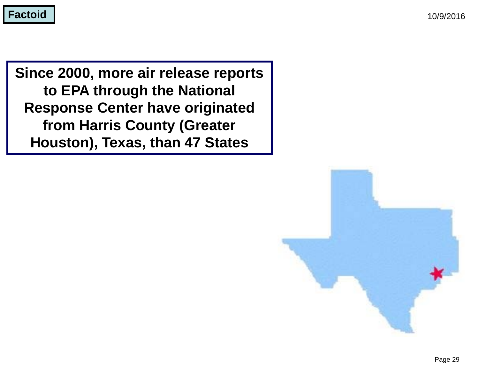**Since 2000, more air release reports to EPA through the National Response Center have originated from Harris County (Greater Houston), Texas, than 47 States**

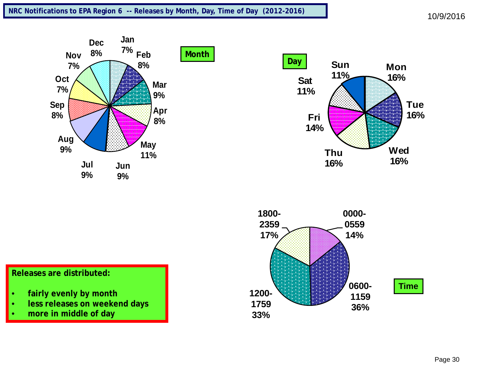





#### **Releases are distributed:**

- **fairly evenly by month**
- **less releases on weekend days**
- **more in middle of day**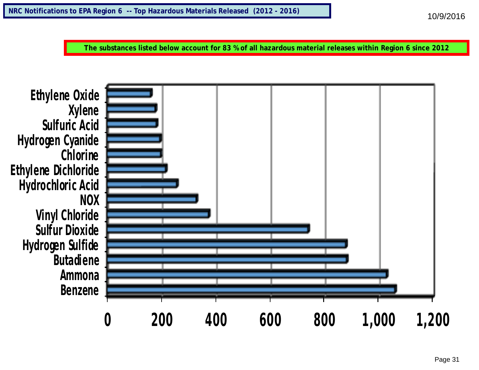**The substances listed below account for 83 % of all hazardous material releases within Region 6 since 2012**

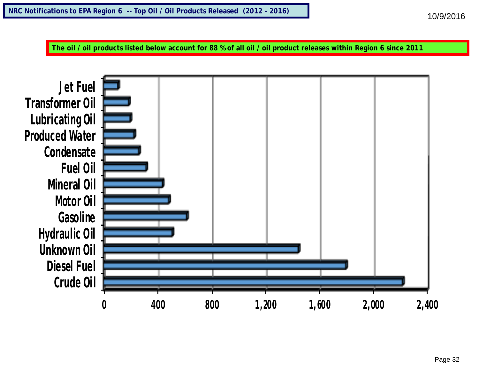**The oil / oil products listed below account for 88 % of all oil / oil product releases within Region 6 since 2011**

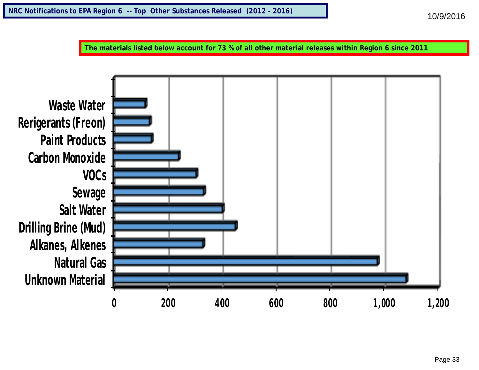**The materials listed below account for 73 % of all other material releases within Region 6 since 2011**

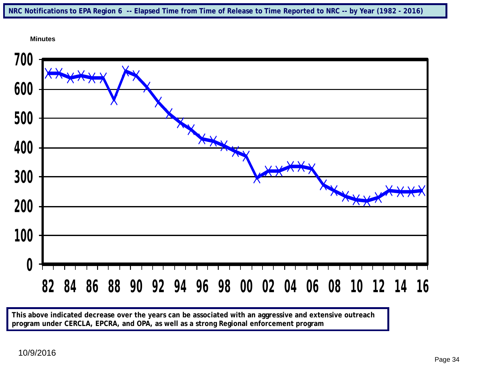



**This above indicated decrease over the years can be associated with an aggressive and extensive outreach program under CERCLA, EPCRA, and OPA, as well as a strong Regional enforcement program**